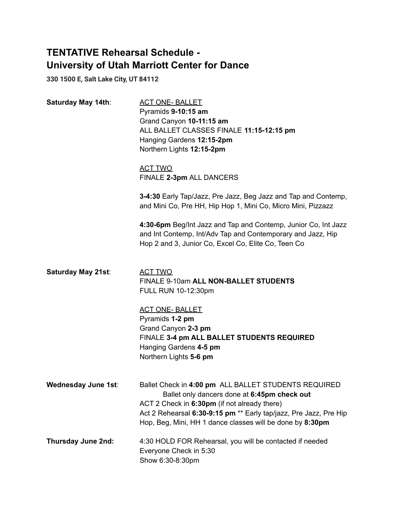# **TENTATIVE Rehearsal Schedule - University of Utah Marriott Center for Dance**

**330 1500 E, Salt Lake City, UT 84112**

| Saturday May 14th:         | <b>ACT ONE- BALLET</b><br>Pyramids 9-10:15 am<br>Grand Canyon 10-11:15 am<br>ALL BALLET CLASSES FINALE 11:15-12:15 pm<br>Hanging Gardens 12:15-2pm<br>Northern Lights 12:15-2pm                                                                                                        |
|----------------------------|----------------------------------------------------------------------------------------------------------------------------------------------------------------------------------------------------------------------------------------------------------------------------------------|
|                            | <b>ACT TWO</b><br>FINALE 2-3pm ALL DANCERS                                                                                                                                                                                                                                             |
|                            | 3-4:30 Early Tap/Jazz, Pre Jazz, Beg Jazz and Tap and Contemp,<br>and Mini Co, Pre HH, Hip Hop 1, Mini Co, Micro Mini, Pizzazz                                                                                                                                                         |
|                            | 4:30-6pm Beg/Int Jazz and Tap and Contemp, Junior Co, Int Jazz<br>and Int Contemp, Int/Adv Tap and Contemporary and Jazz, Hip<br>Hop 2 and 3, Junior Co, Excel Co, Elite Co, Teen Co                                                                                                   |
| Saturday May 21st:         | <b>ACT TWO</b><br>FINALE 9-10am ALL NON-BALLET STUDENTS<br>FULL RUN 10-12:30pm                                                                                                                                                                                                         |
|                            | <b>ACT ONE- BALLET</b><br>Pyramids 1-2 pm                                                                                                                                                                                                                                              |
|                            | Grand Canyon 2-3 pm<br>FINALE 3-4 pm ALL BALLET STUDENTS REQUIRED                                                                                                                                                                                                                      |
|                            | Hanging Gardens 4-5 pm<br>Northern Lights 5-6 pm                                                                                                                                                                                                                                       |
| <b>Wednesday June 1st:</b> | Ballet Check in 4:00 pm ALL BALLET STUDENTS REQUIRED<br>Ballet only dancers done at 6:45pm check out<br>ACT 2 Check in 6:30pm (if not already there)<br>Act 2 Rehearsal 6:30-9:15 pm ** Early tap/jazz, Pre Jazz, Pre Hip<br>Hop, Beg, Mini, HH 1 dance classes will be done by 8:30pm |
| Thursday June 2nd:         | 4:30 HOLD FOR Rehearsal, you will be contacted if needed<br>Everyone Check in 5:30<br>Show 6:30-8:30pm                                                                                                                                                                                 |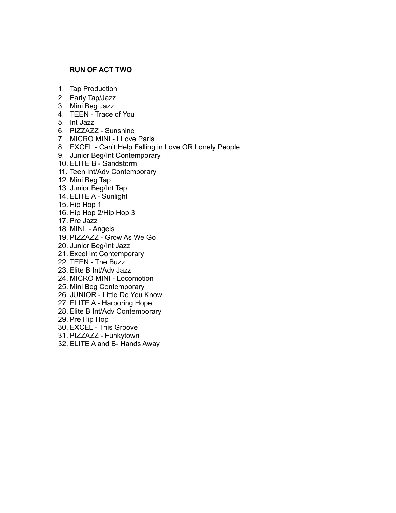#### **RUN OF ACT TWO**

- 1. Tap Production
- 2. Early Tap/Jazz
- 3. Mini Beg Jazz
- 4. TEEN Trace of You
- 5. Int Jazz
- 6. PIZZAZZ Sunshine
- 7. MICRO MINI I Love Paris
- 8. EXCEL Can't Help Falling in Love OR Lonely People
- 9. Junior Beg/Int Contemporary
- 10. ELITE B Sandstorm
- 11. Teen Int/Adv Contemporary
- 12. Mini Beg Tap
- 13. Junior Beg/Int Tap
- 14. ELITE A Sunlight
- 15. Hip Hop 1
- 16. Hip Hop 2/Hip Hop 3
- 17. Pre Jazz
- 18. MINI Angels
- 19. PIZZAZZ Grow As We Go
- 20. Junior Beg/Int Jazz
- 21. Excel Int Contemporary
- 22. TEEN The Buzz
- 23. Elite B Int/Adv Jazz
- 24. MICRO MINI Locomotion
- 25. Mini Beg Contemporary
- 26. JUNIOR Little Do You Know
- 27. ELITE A Harboring Hope
- 28. Elite B Int/Adv Contemporary
- 29. Pre Hip Hop
- 30. EXCEL This Groove
- 31. PIZZAZZ Funkytown
- 32. ELITE A and B- Hands Away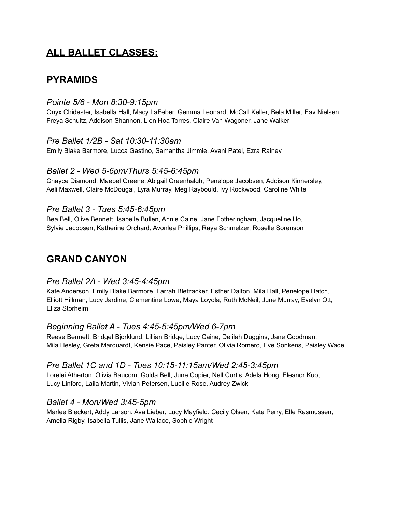# **ALL BALLET CLASSES:**

# **PYRAMIDS**

## *Pointe 5/6 - Mon 8:30-9:15pm*

Onyx Chidester, Isabella Hall, Macy LaFeber, Gemma Leonard, McCall Keller, Bela Miller, Eav Nielsen, Freya Schultz, Addison Shannon, Lien Hoa Torres, Claire Van Wagoner, Jane Walker

# *Pre Ballet 1/2B - Sat 10:30-11:30am*

Emily Blake Barmore, Lucca Gastino, Samantha Jimmie, Avani Patel, Ezra Rainey

### *Ballet 2 - Wed 5-6pm/Thurs 5:45-6:45pm*

Chayce Diamond, Maebel Greene, Abigail Greenhalgh, Penelope Jacobsen, Addison Kinnersley, Aeli Maxwell, Claire McDougal, Lyra Murray, Meg Raybould, Ivy Rockwood, Caroline White

# *Pre Ballet 3 - Tues 5:45-6:45pm*

Bea Bell, Olive Bennett, Isabelle Bullen, Annie Caine, Jane Fotheringham, Jacqueline Ho, Sylvie Jacobsen, Katherine Orchard, Avonlea Phillips, Raya Schmelzer, Roselle Sorenson

# **GRAND CANYON**

### *Pre Ballet 2A - Wed 3:45-4:45pm*

Kate Anderson, Emily Blake Barmore, Farrah Bletzacker, Esther Dalton, Mila Hall, Penelope Hatch, Elliott Hillman, Lucy Jardine, Clementine Lowe, Maya Loyola, Ruth McNeil, June Murray, Evelyn Ott, Eliza Storheim

# *Beginning Ballet A - Tues 4:45-5:45pm/Wed 6-7pm*

Reese Bennett, Bridget Bjorklund, Lillian Bridge, Lucy Caine, Delilah Duggins, Jane Goodman, Mila Hesley, Greta Marquardt, Kensie Pace, Paisley Panter, Olivia Romero, Eve Sonkens, Paisley Wade

### *Pre Ballet 1C and 1D - Tues 10:15-11:15am/Wed 2:45-3:45pm*

Lorelei Atherton, Olivia Baucom, Golda Bell, June Copier, Nell Curtis, Adela Hong, Eleanor Kuo, Lucy Linford, Laila Martin, Vivian Petersen, Lucille Rose, Audrey Zwick

### *Ballet 4 - Mon/Wed 3:45-5pm*

Marlee Bleckert, Addy Larson, Ava Lieber, Lucy Mayfield, Cecily Olsen, Kate Perry, Elle Rasmussen, Amelia Rigby, Isabella Tullis, Jane Wallace, Sophie Wright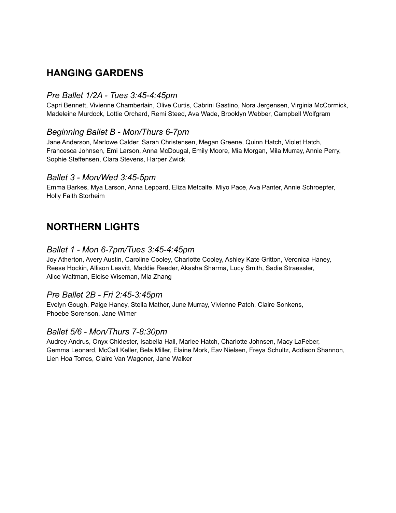# **HANGING GARDENS**

# *Pre Ballet 1/2A - Tues 3:45-4:45pm*

Capri Bennett, Vivienne Chamberlain, Olive Curtis, Cabrini Gastino, Nora Jergensen, Virginia McCormick, Madeleine Murdock, Lottie Orchard, Remi Steed, Ava Wade, Brooklyn Webber, Campbell Wolfgram

# *Beginning Ballet B - Mon/Thurs 6-7pm*

Jane Anderson, Marlowe Calder, Sarah Christensen, Megan Greene, Quinn Hatch, Violet Hatch, Francesca Johnsen, Emi Larson, Anna McDougal, Emily Moore, Mia Morgan, Mila Murray, Annie Perry, Sophie Steffensen, Clara Stevens, Harper Zwick

### *Ballet 3 - Mon/Wed 3:45-5pm*

Emma Barkes, Mya Larson, Anna Leppard, Eliza Metcalfe, Miyo Pace, Ava Panter, Annie Schroepfer, Holly Faith Storheim

# **NORTHERN LIGHTS**

### *Ballet 1 - Mon 6-7pm/Tues 3:45-4:45pm*

Joy Atherton, Avery Austin, Caroline Cooley, Charlotte Cooley, Ashley Kate Gritton, Veronica Haney, Reese Hockin, Allison Leavitt, Maddie Reeder, Akasha Sharma, Lucy Smith, Sadie Straessler, Alice Waltman, Eloise Wiseman, Mia Zhang

# *Pre Ballet 2B - Fri 2:45-3:45pm*

Evelyn Gough, Paige Haney, Stella Mather, June Murray, Vivienne Patch, Claire Sonkens, Phoebe Sorenson, Jane Wimer

### *Ballet 5/6 - Mon/Thurs 7-8:30pm*

Audrey Andrus, Onyx Chidester, Isabella Hall, Marlee Hatch, Charlotte Johnsen, Macy LaFeber, Gemma Leonard, McCall Keller, Bela Miller, Elaine Mork, Eav Nielsen, Freya Schultz, Addison Shannon, Lien Hoa Torres, Claire Van Wagoner, Jane Walker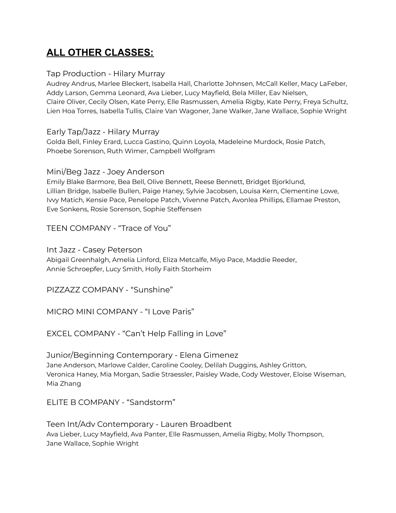# **ALL OTHER CLASSES:**

## Tap Production - Hilary Murray

Audrey Andrus, Marlee Bleckert, Isabella Hall, Charlotte Johnsen, McCall Keller, Macy LaFeber, Addy Larson, Gemma Leonard, Ava Lieber, Lucy Mayfield, Bela Miller, Eav Nielsen, Claire Oliver, Cecily Olsen, Kate Perry, Elle Rasmussen, Amelia Rigby, Kate Perry, Freya Schultz, Lien Hoa Torres, Isabella Tullis, Claire Van Wagoner, Jane Walker, Jane Wallace, Sophie Wright

# Early Tap/Jazz - Hilary Murray

Golda Bell, Finley Erard, Lucca Gastino, Quinn Loyola, Madeleine Murdock, Rosie Patch, Phoebe Sorenson, Ruth Wimer, Campbell Wolfgram

### Mini/Beg Jazz - Joey Anderson

Emily Blake Barmore, Bea Bell, Olive Bennett, Reese Bennett, Bridget Bjorklund, Lillian Bridge, Isabelle Bullen, Paige Haney, Sylvie Jacobsen, Louisa Kern, Clementine Lowe, Ivvy Matich, Kensie Pace, Penelope Patch, Vivenne Patch, Avonlea Phillips, Ellamae Preston, Eve Sonkens, Rosie Sorenson, Sophie Steffensen

TEEN COMPANY - "Trace of You"

# Int Jazz - Casey Peterson

Abigail Greenhalgh, Amelia Linford, Eliza Metcalfe, Miyo Pace, Maddie Reeder, Annie Schroepfer, Lucy Smith, Holly Faith Storheim

PIZZAZZ COMPANY - "Sunshine"

MICRO MINI COMPANY - "I Love Paris"

EXCEL COMPANY - "Can't Help Falling in Love"

Junior/Beginning Contemporary - Elena Gimenez Jane Anderson, Marlowe Calder, Caroline Cooley, Delilah Duggins, Ashley Gritton, Veronica Haney, Mia Morgan, Sadie Straessler, Paisley Wade, Cody Westover, Eloise Wiseman, Mia Zhang

ELITE B COMPANY - "Sandstorm"

Teen Int/Adv Contemporary - Lauren Broadbent Ava Lieber, Lucy Mayfield, Ava Panter, Elle Rasmussen, Amelia Rigby, Molly Thompson, Jane Wallace, Sophie Wright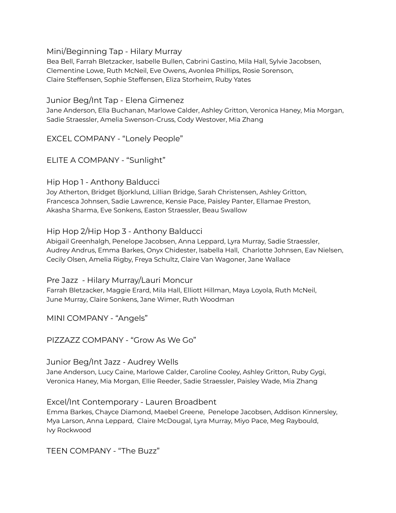Mini/Beginning Tap - Hilary Murray

Bea Bell, Farrah Bletzacker, Isabelle Bullen, Cabrini Gastino, Mila Hall, Sylvie Jacobsen, Clementine Lowe, Ruth McNeil, Eve Owens, Avonlea Phillips, Rosie Sorenson, Claire Steffensen, Sophie Steffensen, Eliza Storheim, Ruby Yates

Junior Beg/Int Tap - Elena Gimenez

Jane Anderson, Ella Buchanan, Marlowe Calder, Ashley Gritton, Veronica Haney, Mia Morgan, Sadie Straessler, Amelia Swenson-Cruss, Cody Westover, Mia Zhang

EXCEL COMPANY - "Lonely People"

ELITE A COMPANY - "Sunlight"

Hip Hop 1 - Anthony Balducci

Joy Atherton, Bridget Bjorklund, Lillian Bridge, Sarah Christensen, Ashley Gritton, Francesca Johnsen, Sadie Lawrence, Kensie Pace, Paisley Panter, Ellamae Preston, Akasha Sharma, Eve Sonkens, Easton Straessler, Beau Swallow

Hip Hop 2/Hip Hop 3 - Anthony Balducci

Abigail Greenhalgh, Penelope Jacobsen, Anna Leppard, Lyra Murray, Sadie Straessler, Audrey Andrus, Emma Barkes, Onyx Chidester, Isabella Hall, Charlotte Johnsen, Eav Nielsen, Cecily Olsen, Amelia Rigby, Freya Schultz, Claire Van Wagoner, Jane Wallace

Pre Jazz - Hilary Murray/Lauri Moncur Farrah Bletzacker, Maggie Erard, Mila Hall, Elliott Hillman, Maya Loyola, Ruth McNeil, June Murray, Claire Sonkens, Jane Wimer, Ruth Woodman

MINI COMPANY - "Angels"

PIZZAZZ COMPANY - "Grow As We Go"

Junior Beg/Int Jazz - Audrey Wells

Jane Anderson, Lucy Caine, Marlowe Calder, Caroline Cooley, Ashley Gritton, Ruby Gygi, Veronica Haney, Mia Morgan, Ellie Reeder, Sadie Straessler, Paisley Wade, Mia Zhang

Excel/Int Contemporary - Lauren Broadbent

Emma Barkes, Chayce Diamond, Maebel Greene, Penelope Jacobsen, Addison Kinnersley, Mya Larson, Anna Leppard, Claire McDougal, Lyra Murray, Miyo Pace, Meg Raybould, Ivy Rockwood

TEEN COMPANY - "The Buzz"